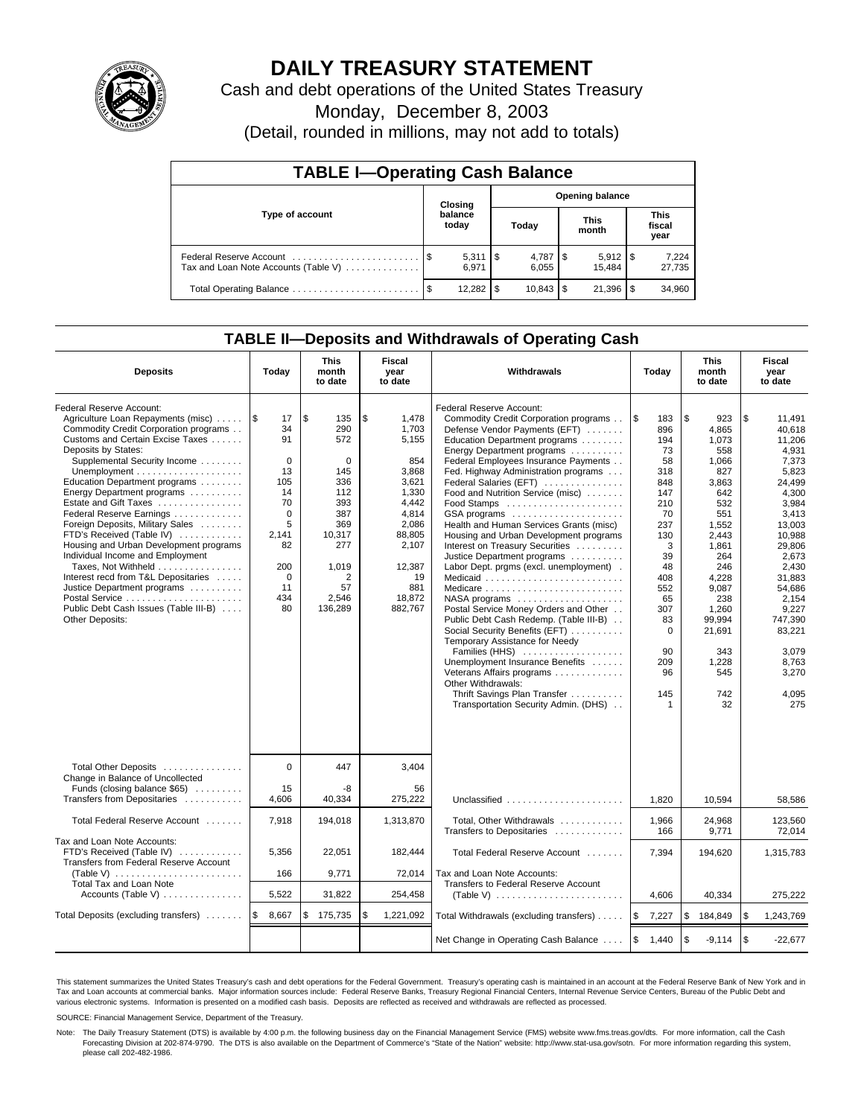

# **DAILY TREASURY STATEMENT**

Cash and debt operations of the United States Treasury

Monday, December 8, 2003

(Detail, rounded in millions, may not add to totals)

| <b>TABLE I-Operating Cash Balance</b>                           |    |                                |   |                        |  |                       |  |                               |  |  |
|-----------------------------------------------------------------|----|--------------------------------|---|------------------------|--|-----------------------|--|-------------------------------|--|--|
| Type of account                                                 |    | Closing                        |   | <b>Opening balance</b> |  |                       |  |                               |  |  |
|                                                                 |    | balance<br>today               |   | Today                  |  | <b>This</b><br>month  |  | <b>This</b><br>fiscal<br>year |  |  |
| Federal Reserve Account<br>Tax and Loan Note Accounts (Table V) |    | $5,311$ $\frac{1}{3}$<br>6.971 |   | 6.055                  |  | $5,912$ \\$<br>15.484 |  | 7,224<br>27,735               |  |  |
|                                                                 | \$ | 12.282                         | S |                        |  | 21,396                |  | 34,960                        |  |  |

## **TABLE II—Deposits and Withdrawals of Operating Cash**

| <b>Deposits</b>                                                                                                                                                                                                                                                                                                                                                                                                                                                                                                                                                                                                                             | Today                                                                                                                           | <b>This</b><br>month<br>to date                                                                                                           | <b>Fiscal</b><br>Withdrawals<br>year<br>to date                                                                                                           |                                                                                                                                                                                                                                                                                                                                                                                                                                                                                                                                                                                                                                                                                                                                                                                                                                                                                                                                                                          | Today                                                                                                                                                                             | <b>This</b><br>month<br>to date                                                                                                                                                                                     | Fiscal<br>year<br>to date                                                                                                                                                                                                                              |  |
|---------------------------------------------------------------------------------------------------------------------------------------------------------------------------------------------------------------------------------------------------------------------------------------------------------------------------------------------------------------------------------------------------------------------------------------------------------------------------------------------------------------------------------------------------------------------------------------------------------------------------------------------|---------------------------------------------------------------------------------------------------------------------------------|-------------------------------------------------------------------------------------------------------------------------------------------|-----------------------------------------------------------------------------------------------------------------------------------------------------------|--------------------------------------------------------------------------------------------------------------------------------------------------------------------------------------------------------------------------------------------------------------------------------------------------------------------------------------------------------------------------------------------------------------------------------------------------------------------------------------------------------------------------------------------------------------------------------------------------------------------------------------------------------------------------------------------------------------------------------------------------------------------------------------------------------------------------------------------------------------------------------------------------------------------------------------------------------------------------|-----------------------------------------------------------------------------------------------------------------------------------------------------------------------------------|---------------------------------------------------------------------------------------------------------------------------------------------------------------------------------------------------------------------|--------------------------------------------------------------------------------------------------------------------------------------------------------------------------------------------------------------------------------------------------------|--|
| Federal Reserve Account:<br>Agriculture Loan Repayments (misc)    \$<br>Commodity Credit Corporation programs<br>Customs and Certain Excise Taxes<br>Deposits by States:<br>Supplemental Security Income<br>Education Department programs<br>Energy Department programs<br>Estate and Gift Taxes<br>Federal Reserve Earnings<br>Foreign Deposits, Military Sales<br>FTD's Received (Table IV)<br>Housing and Urban Development programs<br>Individual Income and Employment<br>Taxes, Not Withheld<br>Interest recd from T&L Depositaries<br>Justice Department programs<br>Public Debt Cash Issues (Table III-B)<br><b>Other Deposits:</b> | 17<br>34<br>91<br>$\mathbf 0$<br>13<br>105<br>14<br>70<br>$\Omega$<br>5<br>2,141<br>82<br>200<br>$\mathbf 0$<br>11<br>434<br>80 | \$<br>135<br>290<br>572<br>$\mathbf 0$<br>145<br>336<br>112<br>393<br>387<br>369<br>10,317<br>277<br>1,019<br>2<br>57<br>2,546<br>136,289 | \$<br>1,478<br>1,703<br>5.155<br>854<br>3,868<br>3,621<br>1,330<br>4.442<br>4,814<br>2,086<br>88,805<br>2,107<br>12,387<br>19<br>881<br>18,872<br>882,767 | Federal Reserve Account:<br>Commodity Credit Corporation programs<br>Defense Vendor Payments (EFT)<br>Education Department programs<br>Energy Department programs<br>Federal Employees Insurance Payments<br>Fed. Highway Administration programs<br>Federal Salaries (EFT)<br>Food and Nutrition Service (misc)<br>Food Stamps<br>GSA programs<br>Health and Human Services Grants (misc)<br>Housing and Urban Development programs<br>Interest on Treasury Securities<br>Justice Department programs<br>Labor Dept. prgms (excl. unemployment).<br>Medicaid<br>Medicare<br>$NASA$ programs $\ldots \ldots \ldots \ldots \ldots$<br>Postal Service Money Orders and Other<br>Public Debt Cash Redemp. (Table III-B)<br>Social Security Benefits (EFT)<br>Temporary Assistance for Needy<br>Families (HHS)<br>Unemployment Insurance Benefits<br>Veterans Affairs programs<br>Other Withdrawals:<br>Thrift Savings Plan Transfer<br>Transportation Security Admin. (DHS) | ۱\$<br>183<br>896<br>194<br>73<br>58<br>318<br>848<br>147<br>210<br>70<br>237<br>130<br>3<br>39<br>48<br>408<br>552<br>65<br>307<br>83<br>$\Omega$<br>90<br>209<br>96<br>145<br>1 | \$<br>923<br>4.865<br>1,073<br>558<br>1.066<br>827<br>3,863<br>642<br>532<br>551<br>1,552<br>2.443<br>1,861<br>264<br>246<br>4.228<br>9,087<br>238<br>1.260<br>99.994<br>21,691<br>343<br>1,228<br>545<br>742<br>32 | \$<br>11,491<br>40.618<br>11.206<br>4,931<br>7,373<br>5,823<br>24,499<br>4,300<br>3.984<br>3.413<br>13,003<br>10.988<br>29,806<br>2,673<br>2,430<br>31.883<br>54.686<br>2,154<br>9.227<br>747,390<br>83,221<br>3.079<br>8,763<br>3,270<br>4,095<br>275 |  |
| Total Other Deposits<br>Change in Balance of Uncollected<br>Funds (closing balance \$65)<br>Transfers from Depositaries                                                                                                                                                                                                                                                                                                                                                                                                                                                                                                                     | $\Omega$<br>15<br>4.606                                                                                                         | 447<br>-8<br>40,334                                                                                                                       | 3,404<br>56<br>275.222                                                                                                                                    | Unclassified                                                                                                                                                                                                                                                                                                                                                                                                                                                                                                                                                                                                                                                                                                                                                                                                                                                                                                                                                             | 1.820                                                                                                                                                                             | 10.594                                                                                                                                                                                                              | 58.586                                                                                                                                                                                                                                                 |  |
| Total Federal Reserve Account                                                                                                                                                                                                                                                                                                                                                                                                                                                                                                                                                                                                               | 7,918                                                                                                                           | 194,018                                                                                                                                   | 1,313,870                                                                                                                                                 | Total, Other Withdrawals                                                                                                                                                                                                                                                                                                                                                                                                                                                                                                                                                                                                                                                                                                                                                                                                                                                                                                                                                 | 1,966                                                                                                                                                                             | 24,968                                                                                                                                                                                                              | 123,560                                                                                                                                                                                                                                                |  |
| Tax and Loan Note Accounts:<br>FTD's Received (Table IV)<br>Transfers from Federal Reserve Account<br>(Table V) $\ldots \ldots \ldots \ldots \ldots \ldots \ldots$<br><b>Total Tax and Loan Note</b>                                                                                                                                                                                                                                                                                                                                                                                                                                        | 5,356<br>166                                                                                                                    | 22,051<br>9,771                                                                                                                           | 182,444<br>72,014                                                                                                                                         | Transfers to Depositaries<br>Total Federal Reserve Account<br>Tax and Loan Note Accounts:<br>Transfers to Federal Reserve Account                                                                                                                                                                                                                                                                                                                                                                                                                                                                                                                                                                                                                                                                                                                                                                                                                                        | 166<br>7,394                                                                                                                                                                      | 9,771<br>194,620                                                                                                                                                                                                    | 72.014<br>1,315,783                                                                                                                                                                                                                                    |  |
| Accounts (Table V)                                                                                                                                                                                                                                                                                                                                                                                                                                                                                                                                                                                                                          | 5,522                                                                                                                           | 31,822                                                                                                                                    | 254,458                                                                                                                                                   | (Table V) $\ldots \ldots \ldots \ldots \ldots \ldots \ldots$                                                                                                                                                                                                                                                                                                                                                                                                                                                                                                                                                                                                                                                                                                                                                                                                                                                                                                             | 4,606                                                                                                                                                                             | 40,334                                                                                                                                                                                                              | 275,222                                                                                                                                                                                                                                                |  |
| Total Deposits (excluding transfers)                                                                                                                                                                                                                                                                                                                                                                                                                                                                                                                                                                                                        | l\$<br>8,667                                                                                                                    | \$<br>175,735                                                                                                                             | \$<br>1,221,092                                                                                                                                           | Total Withdrawals (excluding transfers)                                                                                                                                                                                                                                                                                                                                                                                                                                                                                                                                                                                                                                                                                                                                                                                                                                                                                                                                  | ۱\$<br>7,227                                                                                                                                                                      | <b>S</b><br>184,849                                                                                                                                                                                                 | \$<br>1,243,769                                                                                                                                                                                                                                        |  |
|                                                                                                                                                                                                                                                                                                                                                                                                                                                                                                                                                                                                                                             |                                                                                                                                 |                                                                                                                                           |                                                                                                                                                           | Net Change in Operating Cash Balance                                                                                                                                                                                                                                                                                                                                                                                                                                                                                                                                                                                                                                                                                                                                                                                                                                                                                                                                     | ا \$<br>1,440                                                                                                                                                                     | l\$<br>$-9,114$                                                                                                                                                                                                     | \$<br>$-22,677$                                                                                                                                                                                                                                        |  |

This statement summarizes the United States Treasury's cash and debt operations for the Federal Government. Treasury's operating cash is maintained in an account at the Federal Reserve Bank of New York and in Tax and Loan accounts at commercial banks. Major information sources include: Federal Reserve Banks, Treasury Regional Financial Centers, Internal Revenue Service Centers, Bureau of the Public Debt and<br>various electronic s

SOURCE: Financial Management Service, Department of the Treasury.

Note: The Daily Treasury Statement (DTS) is available by 4:00 p.m. the following business day on the Financial Management Service (FMS) website www.fms.treas.gov/dts. For more information, call the Cash Forecasting Division at 202-874-9790. The DTS is also available on the Department of Commerce's "State of the Nation" website: http://www.stat-usa.gov/sotn. For more information regarding this system, please call 202-482-1986.